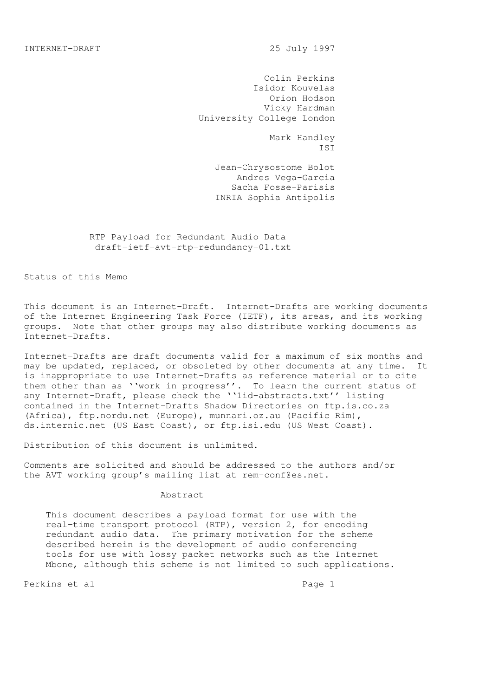Colin Perkins Isidor Kouvelas Orion Hodson Vicky Hardman University College London

 Mark Handley ISI

> Jean-Chrysostome Bolot Andres Vega-Garcia Sacha Fosse-Parisis INRIA Sophia Antipolis

 RTP Payload for Redundant Audio Data draft-ietf-avt-rtp-redundancy-01.txt

Status of this Memo

This document is an Internet-Draft. Internet-Drafts are working documents of the Internet Engineering Task Force (IETF), its areas, and its working groups. Note that other groups may also distribute working documents as Internet-Drafts.

Internet-Drafts are draft documents valid for a maximum of six months and may be updated, replaced, or obsoleted by other documents at any time. It is inappropriate to use Internet-Drafts as reference material or to cite them other than as ''work in progress''. To learn the current status of any Internet-Draft, please check the ''1id-abstracts.txt'' listing contained in the Internet-Drafts Shadow Directories on ftp.is.co.za (Africa), ftp.nordu.net (Europe), munnari.oz.au (Pacific Rim), ds.internic.net (US East Coast), or ftp.isi.edu (US West Coast).

Distribution of this document is unlimited.

Comments are solicited and should be addressed to the authors and/or the AVT working group's mailing list at rem-conf@es.net.

#### Abstract

 This document describes a payload format for use with the real-time transport protocol (RTP), version 2, for encoding redundant audio data. The primary motivation for the scheme described herein is the development of audio conferencing tools for use with lossy packet networks such as the Internet Mbone, although this scheme is not limited to such applications.

Perkins et al en announcement and page 1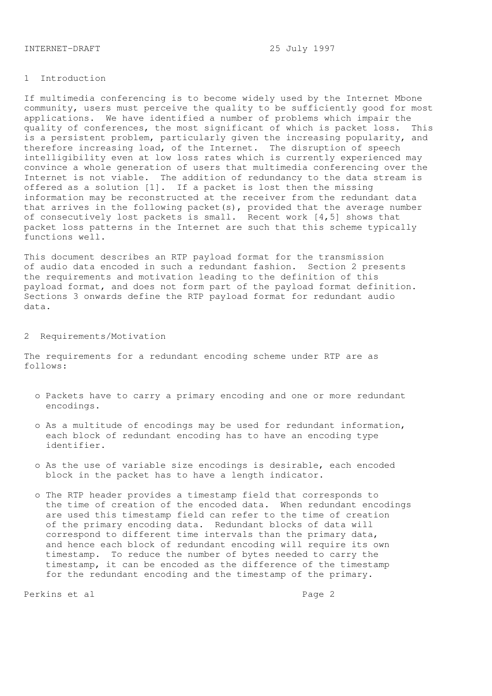#### 1 Introduction

If multimedia conferencing is to become widely used by the Internet Mbone community, users must perceive the quality to be sufficiently good for most applications. We have identified a number of problems which impair the quality of conferences, the most significant of which is packet loss. This is a persistent problem, particularly given the increasing popularity, and therefore increasing load, of the Internet. The disruption of speech intelligibility even at low loss rates which is currently experienced may convince a whole generation of users that multimedia conferencing over the Internet is not viable. The addition of redundancy to the data stream is offered as a solution [1]. If a packet is lost then the missing information may be reconstructed at the receiver from the redundant data that arrives in the following packet(s), provided that the average number of consecutively lost packets is small. Recent work [4,5] shows that packet loss patterns in the Internet are such that this scheme typically functions well.

This document describes an RTP payload format for the transmission of audio data encoded in such a redundant fashion. Section 2 presents the requirements and motivation leading to the definition of this payload format, and does not form part of the payload format definition. Sections 3 onwards define the RTP payload format for redundant audio data.

#### 2 Requirements/Motivation

The requirements for a redundant encoding scheme under RTP are as follows:

- o Packets have to carry a primary encoding and one or more redundant encodings.
- o As a multitude of encodings may be used for redundant information, each block of redundant encoding has to have an encoding type identifier.
- o As the use of variable size encodings is desirable, each encoded block in the packet has to have a length indicator.
- o The RTP header provides a timestamp field that corresponds to the time of creation of the encoded data. When redundant encodings are used this timestamp field can refer to the time of creation of the primary encoding data. Redundant blocks of data will correspond to different time intervals than the primary data, and hence each block of redundant encoding will require its own timestamp. To reduce the number of bytes needed to carry the timestamp, it can be encoded as the difference of the timestamp for the redundant encoding and the timestamp of the primary.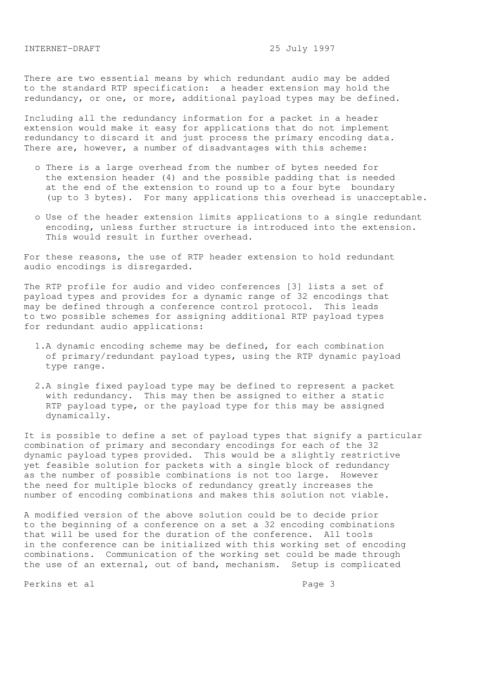There are two essential means by which redundant audio may be added to the standard RTP specification: a header extension may hold the redundancy, or one, or more, additional payload types may be defined.

Including all the redundancy information for a packet in a header extension would make it easy for applications that do not implement redundancy to discard it and just process the primary encoding data. There are, however, a number of disadvantages with this scheme:

- o There is a large overhead from the number of bytes needed for the extension header (4) and the possible padding that is needed at the end of the extension to round up to a four byte boundary (up to 3 bytes). For many applications this overhead is unacceptable.
- o Use of the header extension limits applications to a single redundant encoding, unless further structure is introduced into the extension. This would result in further overhead.

For these reasons, the use of RTP header extension to hold redundant audio encodings is disregarded.

The RTP profile for audio and video conferences [3] lists a set of payload types and provides for a dynamic range of 32 encodings that may be defined through a conference control protocol. This leads to two possible schemes for assigning additional RTP payload types for redundant audio applications:

- 1.A dynamic encoding scheme may be defined, for each combination of primary/redundant payload types, using the RTP dynamic payload type range.
- 2.A single fixed payload type may be defined to represent a packet with redundancy. This may then be assigned to either a static RTP payload type, or the payload type for this may be assigned dynamically.

It is possible to define a set of payload types that signify a particular combination of primary and secondary encodings for each of the 32 dynamic payload types provided. This would be a slightly restrictive yet feasible solution for packets with a single block of redundancy as the number of possible combinations is not too large. However the need for multiple blocks of redundancy greatly increases the number of encoding combinations and makes this solution not viable.

A modified version of the above solution could be to decide prior to the beginning of a conference on a set a 32 encoding combinations that will be used for the duration of the conference. All tools in the conference can be initialized with this working set of encoding combinations. Communication of the working set could be made through the use of an external, out of band, mechanism. Setup is complicated

Perkins et al entre and page 3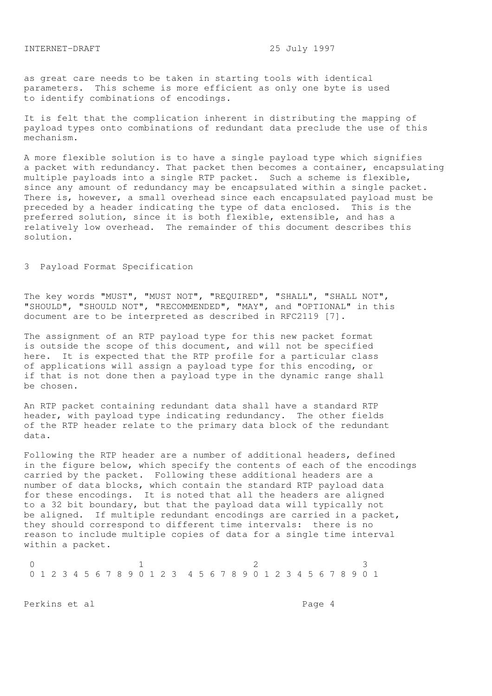as great care needs to be taken in starting tools with identical parameters. This scheme is more efficient as only one byte is used to identify combinations of encodings.

It is felt that the complication inherent in distributing the mapping of payload types onto combinations of redundant data preclude the use of this mechanism.

A more flexible solution is to have a single payload type which signifies a packet with redundancy. That packet then becomes a container, encapsulating multiple payloads into a single RTP packet. Such a scheme is flexible, since any amount of redundancy may be encapsulated within a single packet. There is, however, a small overhead since each encapsulated payload must be preceded by a header indicating the type of data enclosed. This is the preferred solution, since it is both flexible, extensible, and has a relatively low overhead. The remainder of this document describes this solution.

# 3 Payload Format Specification

The key words "MUST", "MUST NOT", "REQUIRED", "SHALL", "SHALL NOT", "SHOULD", "SHOULD NOT", "RECOMMENDED", "MAY", and "OPTIONAL" in this document are to be interpreted as described in RFC2119 [7].

The assignment of an RTP payload type for this new packet format is outside the scope of this document, and will not be specified here. It is expected that the RTP profile for a particular class of applications will assign a payload type for this encoding, or if that is not done then a payload type in the dynamic range shall be chosen.

An RTP packet containing redundant data shall have a standard RTP header, with payload type indicating redundancy. The other fields of the RTP header relate to the primary data block of the redundant data.

Following the RTP header are a number of additional headers, defined in the figure below, which specify the contents of each of the encodings carried by the packet. Following these additional headers are a number of data blocks, which contain the standard RTP payload data for these encodings. It is noted that all the headers are aligned to a 32 bit boundary, but that the payload data will typically not be aligned. If multiple redundant encodings are carried in a packet, they should correspond to different time intervals: there is no reason to include multiple copies of data for a single time interval within a packet.

0 1 2 3 0 1 2 3 4 5 6 7 8 9 0 1 2 3 4 5 6 7 8 9 0 1 2 3 4 5 6 7 8 9 0 1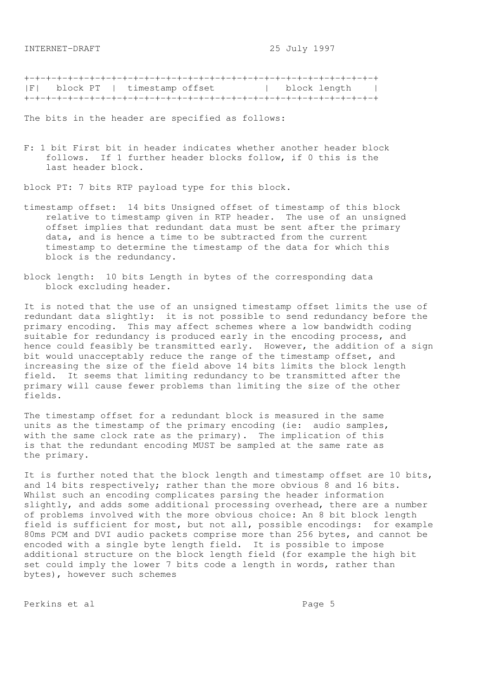+-+-+-+-+-+-+-+-+-+-+-+-+-+-+-+-+-+-+-+-+-+-+-+-+-+-+-+-+-+-+-+-+ |F| block PT | timestamp offset | block length | +-+-+-+-+-+-+-+-+-+-+-+-+-+-+-+-+-+-+-+-+-+-+-+-+-+-+-+-+-+-+-+-+

The bits in the header are specified as follows:

F: 1 bit First bit in header indicates whether another header block follows. If 1 further header blocks follow, if 0 this is the last header block.

block PT: 7 bits RTP payload type for this block.

- timestamp offset: 14 bits Unsigned offset of timestamp of this block relative to timestamp given in RTP header. The use of an unsigned offset implies that redundant data must be sent after the primary data, and is hence a time to be subtracted from the current timestamp to determine the timestamp of the data for which this block is the redundancy.
- block length: 10 bits Length in bytes of the corresponding data block excluding header.

It is noted that the use of an unsigned timestamp offset limits the use of redundant data slightly: it is not possible to send redundancy before the primary encoding. This may affect schemes where a low bandwidth coding suitable for redundancy is produced early in the encoding process, and hence could feasibly be transmitted early. However, the addition of a sign bit would unacceptably reduce the range of the timestamp offset, and increasing the size of the field above 14 bits limits the block length field. It seems that limiting redundancy to be transmitted after the primary will cause fewer problems than limiting the size of the other fields.

The timestamp offset for a redundant block is measured in the same units as the timestamp of the primary encoding (ie: audio samples, with the same clock rate as the primary). The implication of this is that the redundant encoding MUST be sampled at the same rate as the primary.

It is further noted that the block length and timestamp offset are 10 bits, and 14 bits respectively; rather than the more obvious 8 and 16 bits. Whilst such an encoding complicates parsing the header information slightly, and adds some additional processing overhead, there are a number of problems involved with the more obvious choice: An 8 bit block length field is sufficient for most, but not all, possible encodings: for example 80ms PCM and DVI audio packets comprise more than 256 bytes, and cannot be encoded with a single byte length field. It is possible to impose additional structure on the block length field (for example the high bit set could imply the lower 7 bits code a length in words, rather than bytes), however such schemes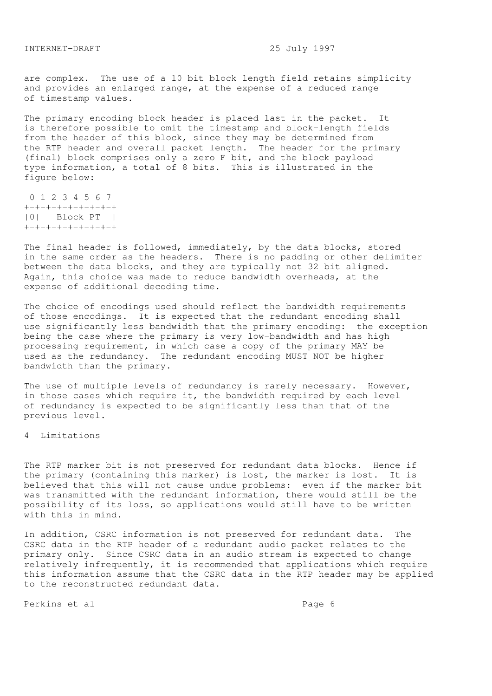are complex. The use of a 10 bit block length field retains simplicity and provides an enlarged range, at the expense of a reduced range of timestamp values.

The primary encoding block header is placed last in the packet. It is therefore possible to omit the timestamp and block-length fields from the header of this block, since they may be determined from the RTP header and overall packet length. The header for the primary (final) block comprises only a zero F bit, and the block payload type information, a total of 8 bits. This is illustrated in the figure below:

 0 1 2 3 4 5 6 7 +-+-+-+-+-+-+-+-+ |0| Block PT | +-+-+-+-+-+-+-+-+

The final header is followed, immediately, by the data blocks, stored in the same order as the headers. There is no padding or other delimiter between the data blocks, and they are typically not 32 bit aligned. Again, this choice was made to reduce bandwidth overheads, at the expense of additional decoding time.

The choice of encodings used should reflect the bandwidth requirements of those encodings. It is expected that the redundant encoding shall use significantly less bandwidth that the primary encoding: the exception being the case where the primary is very low-bandwidth and has high processing requirement, in which case a copy of the primary MAY be used as the redundancy. The redundant encoding MUST NOT be higher bandwidth than the primary.

The use of multiple levels of redundancy is rarely necessary. However, in those cases which require it, the bandwidth required by each level of redundancy is expected to be significantly less than that of the previous level.

4 Limitations

The RTP marker bit is not preserved for redundant data blocks. Hence if the primary (containing this marker) is lost, the marker is lost. It is believed that this will not cause undue problems: even if the marker bit was transmitted with the redundant information, there would still be the possibility of its loss, so applications would still have to be written with this in mind.

In addition, CSRC information is not preserved for redundant data. The CSRC data in the RTP header of a redundant audio packet relates to the primary only. Since CSRC data in an audio stream is expected to change relatively infrequently, it is recommended that applications which require this information assume that the CSRC data in the RTP header may be applied to the reconstructed redundant data.

Perkins et al  $P$ age 6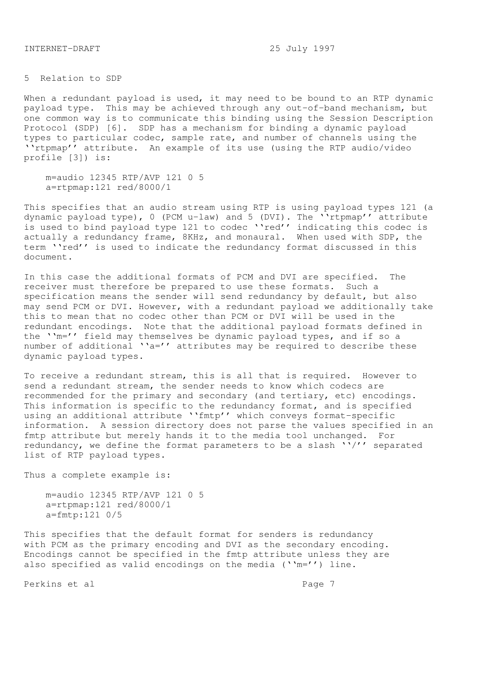5 Relation to SDP

When a redundant payload is used, it may need to be bound to an RTP dynamic payload type. This may be achieved through any out-of-band mechanism, but one common way is to communicate this binding using the Session Description Protocol (SDP) [6]. SDP has a mechanism for binding a dynamic payload types to particular codec, sample rate, and number of channels using the ''rtpmap'' attribute. An example of its use (using the RTP audio/video profile [3]) is:

 m=audio 12345 RTP/AVP 121 0 5 a=rtpmap:121 red/8000/1

This specifies that an audio stream using RTP is using payload types 121 (a dynamic payload type), 0 (PCM u-law) and 5 (DVI). The ''rtpmap'' attribute is used to bind payload type 121 to codec "'red'' indicating this codec is actually a redundancy frame, 8KHz, and monaural. When used with SDP, the term ''red'' is used to indicate the redundancy format discussed in this document.

In this case the additional formats of PCM and DVI are specified. The receiver must therefore be prepared to use these formats. Such a specification means the sender will send redundancy by default, but also may send PCM or DVI. However, with a redundant payload we additionally take this to mean that no codec other than PCM or DVI will be used in the redundant encodings. Note that the additional payload formats defined in the ''m='' field may themselves be dynamic payload types, and if so a number of additional  $a = '$  attributes may be required to describe these dynamic payload types.

To receive a redundant stream, this is all that is required. However to send a redundant stream, the sender needs to know which codecs are recommended for the primary and secondary (and tertiary, etc) encodings. This information is specific to the redundancy format, and is specified using an additional attribute ''fmtp'' which conveys format-specific information. A session directory does not parse the values specified in an fmtp attribute but merely hands it to the media tool unchanged. For redundancy, we define the format parameters to be a slash  $''/'$  separated list of RTP payload types.

Thus a complete example is:

 m=audio 12345 RTP/AVP 121 0 5 a=rtpmap:121 red/8000/1 a=fmtp:121 0/5

This specifies that the default format for senders is redundancy with PCM as the primary encoding and DVI as the secondary encoding. Encodings cannot be specified in the fmtp attribute unless they are also specified as valid encodings on the media (''m='') line.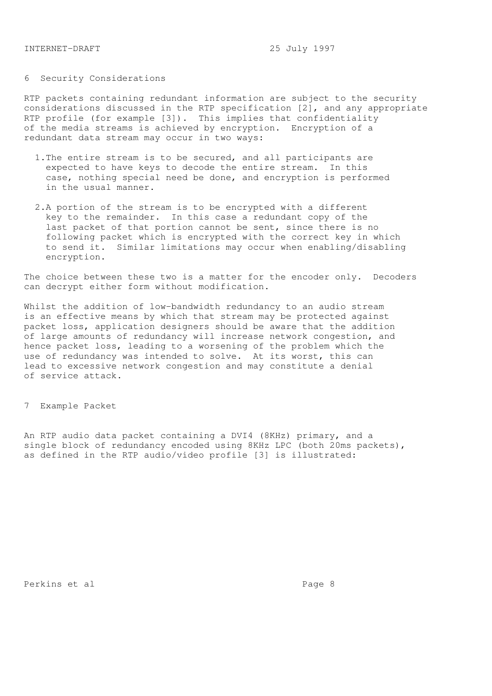# 6 Security Considerations

RTP packets containing redundant information are subject to the security considerations discussed in the RTP specification [2], and any appropriate RTP profile (for example [3]). This implies that confidentiality of the media streams is achieved by encryption. Encryption of a redundant data stream may occur in two ways:

- 1.The entire stream is to be secured, and all participants are expected to have keys to decode the entire stream. In this case, nothing special need be done, and encryption is performed in the usual manner.
- 2.A portion of the stream is to be encrypted with a different key to the remainder. In this case a redundant copy of the last packet of that portion cannot be sent, since there is no following packet which is encrypted with the correct key in which to send it. Similar limitations may occur when enabling/disabling encryption.

The choice between these two is a matter for the encoder only. Decoders can decrypt either form without modification.

Whilst the addition of low-bandwidth redundancy to an audio stream is an effective means by which that stream may be protected against packet loss, application designers should be aware that the addition of large amounts of redundancy will increase network congestion, and hence packet loss, leading to a worsening of the problem which the use of redundancy was intended to solve. At its worst, this can lead to excessive network congestion and may constitute a denial of service attack.

7 Example Packet

An RTP audio data packet containing a DVI4 (8KHz) primary, and a single block of redundancy encoded using 8KHz LPC (both 20ms packets), as defined in the RTP audio/video profile [3] is illustrated:

Perkins et al en anders andere anders anders anders anders anders anders anders anders anders anders anders an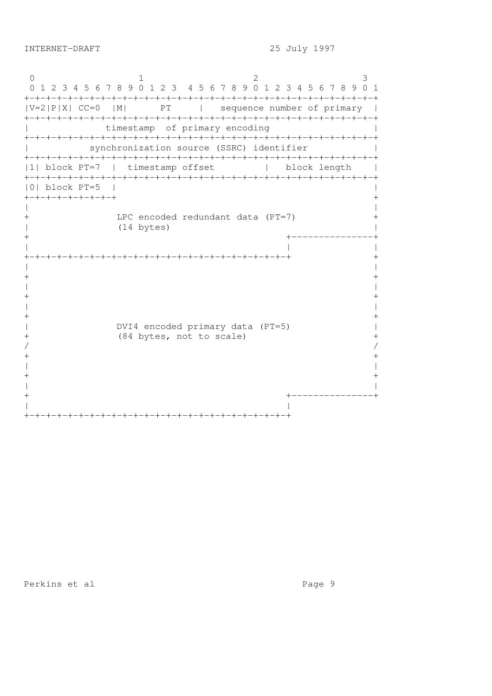0 1 2 3 0 1 2 3 4 5 6 7 8 9 0 1 2 3 4 5 6 7 8 9 0 1 2 3 4 5 6 7 8 9 0 1 +-+-+-+-+-+-+-+-+-+-+-+-+-+-+-+-+-+-+-+-+-+-+-+-+-+-+-+-+-+-+-+-+  $|V=2|P|X|$  CC=0  $|M|$  PT | sequence number of primary | +-+-+-+-+-+-+-+-+-+-+-+-+-+-+-+-+-+-+-+-+-+-+-+-+-+-+-+-+-+-+-+-+ timestamp of primary encoding  $|$ +-+-+-+-+-+-+-+-+-+-+-+-+-+-+-+-+-+-+-+-+-+-+-+-+-+-+-+-+-+-+-+-+ | synchronization source (SSRC) identifier | +-+-+-+-+-+-+-+-+-+-+-+-+-+-+-+-+-+-+-+-+-+-+-+-+-+-+-+-+-+-+-+-+ |1| block PT=7 | timestamp offset | block length | +-+-+-+-+-+-+-+-+-+-+-+-+-+-+-+-+-+-+-+-+-+-+-+-+-+-+-+-+-+-+-+-+ |0| block PT=5 | | +-+-+-+-+-+-+-+-+ + | | + LPC encoded redundant data (PT=7) + | (14 bytes) | + +---------------+ | | | +-+-+-+-+-+-+-+-+-+-+-+-+-+-+-+-+-+-+-+-+-+-+-+-+ + | |  $+$ | |  $+$ | |  $+$ | DVI4 encoded primary data (PT=5) | + (84 bytes, not to scale) +  $/$  $+$ | |  $+$ | | + +---------------+ | | +-+-+-+-+-+-+-+-+-+-+-+-+-+-+-+-+-+-+-+-+-+-+-+-+

Perkins et al entre and page 9